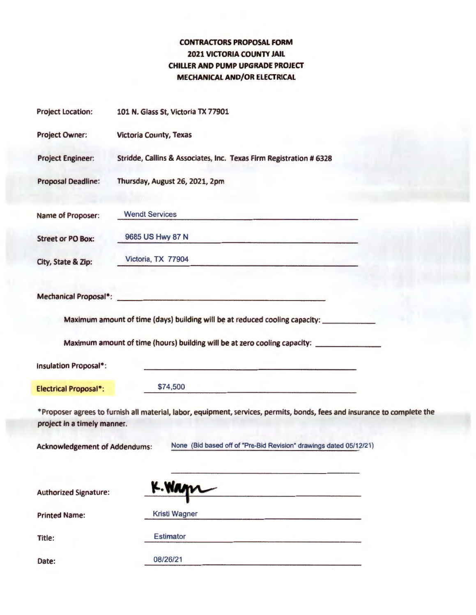## **CONTRACTORS PROPOSAL FORM 2021 VICTORIA COUNTY JAIL CHILLER AND PUMP UPGRADE PROJECT MECHANICAL AND/OR ELECTRICAL**

| <b>Project Location:</b>                                                                                                                                | 101 N. Glass St, Victoria TX 77901                                                                                                 |
|---------------------------------------------------------------------------------------------------------------------------------------------------------|------------------------------------------------------------------------------------------------------------------------------------|
| Project Owner:                                                                                                                                          | <b>Victoria County, Texas</b>                                                                                                      |
| <b>Project Engineer:</b>                                                                                                                                | Stridde, Callins & Associates, Inc. Texas Firm Registration # 6328                                                                 |
| <b>Proposal Deadline:</b>                                                                                                                               | Thursday, August 26, 2021, 2pm                                                                                                     |
| Name of Proposer:                                                                                                                                       | <b>Wendt Services</b><br>and the company's company's company's company's                                                           |
| <b>Street or PO Box:</b>                                                                                                                                | 9685 US Hwy 87 N<br>and the second complete state of the second complete state of the second complete state of the second complete |
| City, State & Zip:                                                                                                                                      | Victoria, TX 77904                                                                                                                 |
|                                                                                                                                                         | Mechanical Proposal*: New York Proposal 2014                                                                                       |
|                                                                                                                                                         | Maximum amount of time (days) building will be at reduced cooling capacity:                                                        |
|                                                                                                                                                         | Maximum amount of time (hours) building will be at zero cooling capacity: _____________                                            |
| Insulation Proposal*:                                                                                                                                   | the contract of the contract of the contract of the contract of the contract of the contract of the contract of                    |
| <b>Electrical Proposal*:</b>                                                                                                                            | \$74,500                                                                                                                           |
| *Proposer agrees to furnish all material, labor, equipment, services, permits, bonds, fees and insurance to complete the<br>project in a timely manner. |                                                                                                                                    |
|                                                                                                                                                         | Acknowledgement of Addendums: None (Bid based off of "Pre-Bid Revision" drawings dated 05/12/21)                                   |
| <b>Authorized Signature:</b>                                                                                                                            | K. Wann                                                                                                                            |
| <b>Printed Name:</b>                                                                                                                                    | <b>Kristi Wagner</b>                                                                                                               |
| Title:                                                                                                                                                  | Estimator                                                                                                                          |
| Date:                                                                                                                                                   | 08/26/21                                                                                                                           |